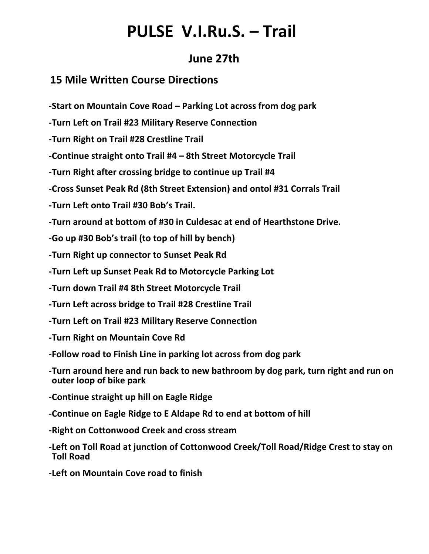## **PULSE V.I.Ru.S. – Trail**

### **June 27th**

### **15 Mile Written Course Directions**

**-Start on Mountain Cove Road – Parking Lot across from dog park**

**-Turn Left on Trail #23 Military Reserve Connection**

**-Turn Right on Trail #28 Crestline Trail**

**-Continue straight onto Trail #4 – 8th Street Motorcycle Trail**

**-Turn Right after crossing bridge to continue up Trail #4**

**-Cross Sunset Peak Rd (8th Street Extension) and ontol #31 Corrals Trail**

**-Turn Left onto Trail #30 Bob's Trail.**

**-Turn around at bottom of #30 in Culdesac at end of Hearthstone Drive.**

**-Go up #30 Bob's trail (to top of hill by bench)**

**-Turn Right up connector to Sunset Peak Rd**

**-Turn Left up Sunset Peak Rd to Motorcycle Parking Lot**

**-Turn down Trail #4 8th Street Motorcycle Trail**

**-Turn Left across bridge to Trail #28 Crestline Trail**

**-Turn Left on Trail #23 Military Reserve Connection**

**-Turn Right on Mountain Cove Rd**

**-Follow road to Finish Line in parking lot across from dog park**

**-Turn around here and run back to new bathroom by dog park, turn right and run on outer loop of bike park** 

**-Continue straight up hill on Eagle Ridge**

**-Continue on Eagle Ridge to E Aldape Rd to end at bottom of hill**

**-Right on Cottonwood Creek and cross stream**

**-Left on Toll Road at junction of Cottonwood Creek/Toll Road/Ridge Crest to stay on Toll Road**

**-Left on Mountain Cove road to finish**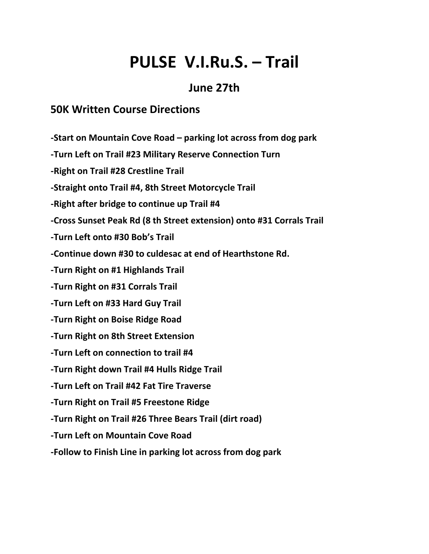# **PULSE V.I.Ru.S. – Trail**

### **June 27th**

### **50K Written Course Directions**

**-Start on Mountain Cove Road – parking lot across from dog park**

**-Turn Left on Trail #23 Military Reserve Connection Turn**

**-Right on Trail #28 Crestline Trail**

**-Straight onto Trail #4, 8th Street Motorcycle Trail**

**-Right after bridge to continue up Trail #4**

**-Cross Sunset Peak Rd (8 th Street extension) onto #31 Corrals Trail**

**-Turn Left onto #30 Bob's Trail**

**-Continue down #30 to culdesac at end of Hearthstone Rd.**

**-Turn Right on #1 Highlands Trail**

**-Turn Right on #31 Corrals Trail**

**-Turn Left on #33 Hard Guy Trail**

**-Turn Right on Boise Ridge Road**

**-Turn Right on 8th Street Extension**

**-Turn Left on connection to trail #4**

**-Turn Right down Trail #4 Hulls Ridge Trail**

**-Turn Left on Trail #42 Fat Tire Traverse**

**-Turn Right on Trail #5 Freestone Ridge**

**-Turn Right on Trail #26 Three Bears Trail (dirt road)**

**-Turn Left on Mountain Cove Road**

**-Follow to Finish Line in parking lot across from dog park**